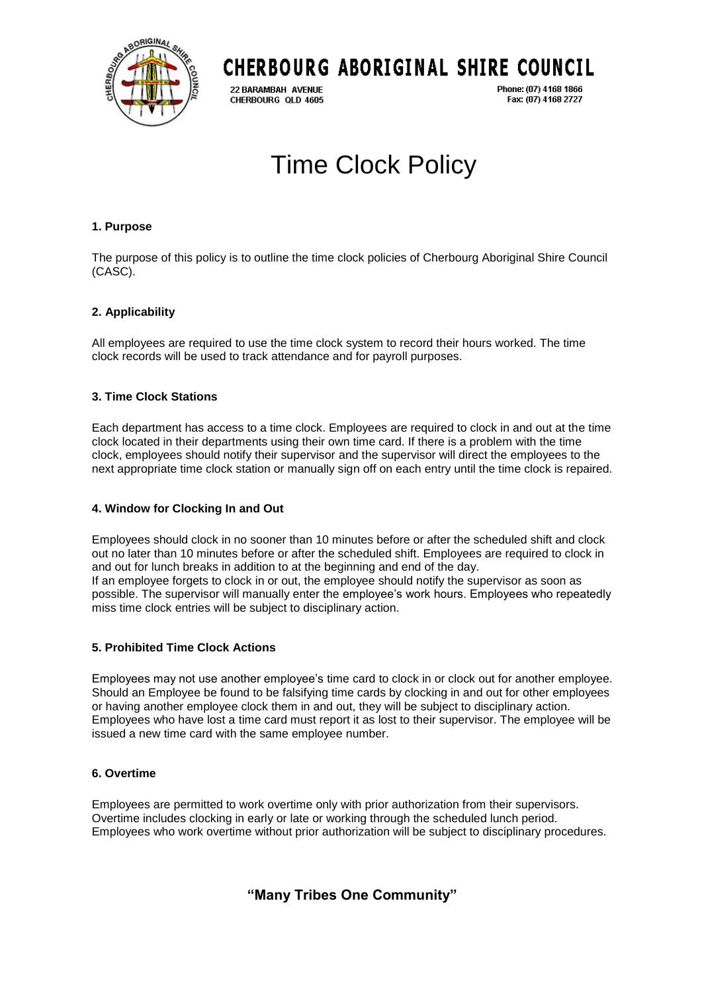

## CHERBOURG ABORIGINAL SHIRE COUNCIL

22 BARAMBAH AVENUE CHERBOURG QLD 4605 Phone: (07) 4168 1866 Fax: (07) 4168 2727

# Time Clock Policy

#### **1. Purpose**

The purpose of this policy is to outline the time clock policies of Cherbourg Aboriginal Shire Council (CASC).

#### **2. Applicability**

All employees are required to use the time clock system to record their hours worked. The time clock records will be used to track attendance and for payroll purposes.

#### **3. Time Clock Stations**

Each department has access to a time clock. Employees are required to clock in and out at the time clock located in their departments using their own time card. If there is a problem with the time clock, employees should notify their supervisor and the supervisor will direct the employees to the next appropriate time clock station or manually sign off on each entry until the time clock is repaired.

#### **4. Window for Clocking In and Out**

Employees should clock in no sooner than 10 minutes before or after the scheduled shift and clock out no later than 10 minutes before or after the scheduled shift. Employees are required to clock in and out for lunch breaks in addition to at the beginning and end of the day. If an employee forgets to clock in or out, the employee should notify the supervisor as soon as possible. The supervisor will manually enter the employee's work hours. Employees who repeatedly miss time clock entries will be subject to disciplinary action.

#### **5. Prohibited Time Clock Actions**

Employees may not use another employee's time card to clock in or clock out for another employee. Should an Employee be found to be falsifying time cards by clocking in and out for other employees or having another employee clock them in and out, they will be subject to disciplinary action. Employees who have lost a time card must report it as lost to their supervisor. The employee will be issued a new time card with the same employee number.

#### **6. Overtime**

Employees are permitted to work overtime only with prior authorization from their supervisors. Overtime includes clocking in early or late or working through the scheduled lunch period. Employees who work overtime without prior authorization will be subject to disciplinary procedures.

### **"Many Tribes One Community"**